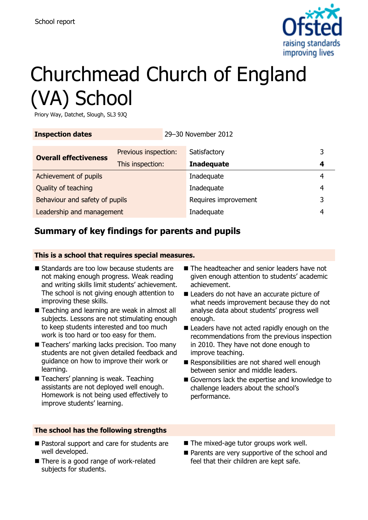

# Churchmead Church of England (VA) School

Priory Way, Datchet, Slough, SL3 9JQ

| <b>Inspection dates</b>        |                      | 29-30 November 2012 |                      |   |   |
|--------------------------------|----------------------|---------------------|----------------------|---|---|
| <b>Overall effectiveness</b>   | Previous inspection: |                     | Satisfactory         |   | 3 |
|                                | This inspection:     |                     | <b>Inadequate</b>    |   | 4 |
| Achievement of pupils          |                      |                     | Inadequate           |   | 4 |
| Quality of teaching            |                      | Inadequate          |                      | 4 |   |
| Behaviour and safety of pupils |                      |                     | Requires improvement |   | 3 |
| Leadership and management      |                      |                     | Inadequate           |   | 4 |

# **Summary of key findings for parents and pupils**

### **This is a school that requires special measures.**

- Standards are too low because students are not making enough progress. Weak reading and writing skills limit students' achievement. The school is not giving enough attention to improving these skills.
- Teaching and learning are weak in almost all subjects. Lessons are not stimulating enough to keep students interested and too much work is too hard or too easy for them.
- Teachers' marking lacks precision. Too many students are not given detailed feedback and guidance on how to improve their work or learning.
- Teachers' planning is weak. Teaching assistants are not deployed well enough. Homework is not being used effectively to improve students' learning.

### **The school has the following strengths**

- Pastoral support and care for students are well developed.
- There is a good range of work-related subjects for students.
- The headteacher and senior leaders have not given enough attention to students' academic achievement.
- Leaders do not have an accurate picture of what needs improvement because they do not analyse data about students' progress well enough.
- Leaders have not acted rapidly enough on the recommendations from the previous inspection in 2010. They have not done enough to improve teaching.
- Responsibilities are not shared well enough between senior and middle leaders.
- Governors lack the expertise and knowledge to challenge leaders about the school's performance.
- The mixed-age tutor groups work well.
- **Parents are very supportive of the school and** feel that their children are kept safe.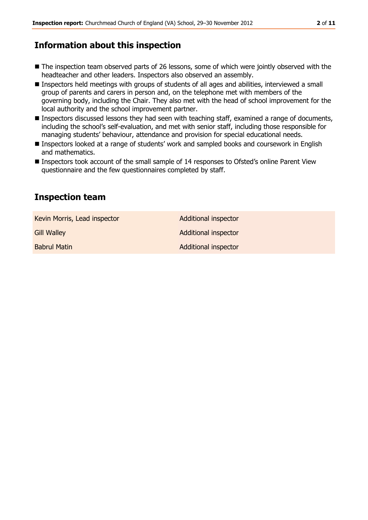### **Information about this inspection**

- The inspection team observed parts of 26 lessons, some of which were jointly observed with the headteacher and other leaders. Inspectors also observed an assembly.
- Inspectors held meetings with groups of students of all ages and abilities, interviewed a small group of parents and carers in person and, on the telephone met with members of the governing body, including the Chair. They also met with the head of school improvement for the local authority and the school improvement partner.
- **Inspectors discussed lessons they had seen with teaching staff, examined a range of documents,** including the school's self-evaluation, and met with senior staff, including those responsible for managing students' behaviour, attendance and provision for special educational needs.
- Inspectors looked at a range of students' work and sampled books and coursework in English and mathematics.
- Inspectors took account of the small sample of 14 responses to Ofsted's online Parent View questionnaire and the few questionnaires completed by staff.

### **Inspection team**

Kevin Morris, Lead inspector **Additional inspector** Additional inspector Gill Walley **Additional inspector** Additional inspector Babrul Matin **Additional inspector** Additional inspector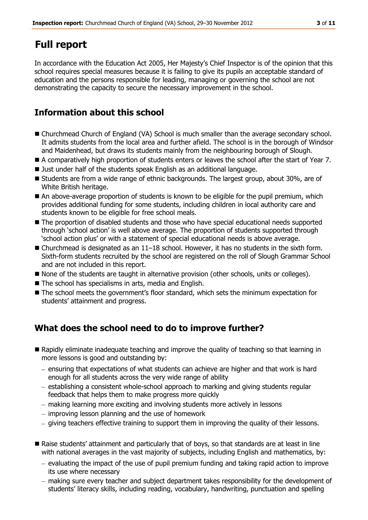# **Full report**

In accordance with the Education Act 2005, Her Majesty's Chief Inspector is of the opinion that this school requires special measures because it is failing to give its pupils an acceptable standard of education and the persons responsible for leading, managing or governing the school are not demonstrating the capacity to secure the necessary improvement in the school.

### **Information about this school**

- Churchmead Church of England (VA) School is much smaller than the average secondary school. It admits students from the local area and further afield. The school is in the borough of Windsor and Maidenhead, but draws its students mainly from the neighbouring borough of Slough.
- A comparatively high proportion of students enters or leaves the school after the start of Year 7.
- Just under half of the students speak English as an additional language.
- Students are from a wide range of ethnic backgrounds. The largest group, about 30%, are of White British heritage.
- An above-average proportion of students is known to be eligible for the pupil premium, which provides additional funding for some students, including children in local authority care and students known to be eligible for free school meals.
- The proportion of disabled students and those who have special educational needs supported through 'school action' is well above average. The proportion of students supported through 'school action plus' or with a statement of special educational needs is above average.
- Churchmead is designated as an 11–18 school. However, it has no students in the sixth form. Sixth-form students recruited by the school are registered on the roll of Slough Grammar School and are not included in this report.
- $\blacksquare$  None of the students are taught in alternative provision (other schools, units or colleges).
- The school has specialisms in arts, media and English.
- The school meets the government's floor standard, which sets the minimum expectation for students' attainment and progress.

# **What does the school need to do to improve further?**

- Rapidly eliminate inadequate teaching and improve the quality of teaching so that learning in more lessons is good and outstanding by:
	- $-$  ensuring that expectations of what students can achieve are higher and that work is hard enough for all students across the very wide range of ability
	- $e$  establishing a consistent whole-school approach to marking and giving students regular feedback that helps them to make progress more quickly
	- making learning more exciting and involving students more actively in lessons
	- improving lesson planning and the use of homework
	- giving teachers effective training to support them in improving the quality of their lessons.
- Raise students' attainment and particularly that of boys, so that standards are at least in line with national averages in the vast majority of subjects, including English and mathematics, by:
	- $-$  evaluating the impact of the use of pupil premium funding and taking rapid action to improve its use where necessary
	- making sure every teacher and subject department takes responsibility for the development of students' literacy skills, including reading, vocabulary, handwriting, punctuation and spelling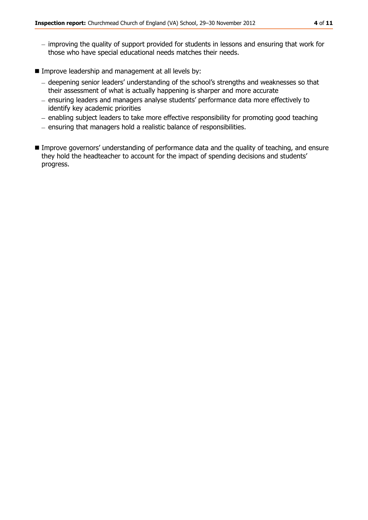- improving the quality of support provided for students in lessons and ensuring that work for those who have special educational needs matches their needs.
- **IMPROVE LEADERSHIP and management at all levels by:** 
	- deepening senior leaders' understanding of the school's strengths and weaknesses so that their assessment of what is actually happening is sharper and more accurate
	- ensuring leaders and managers analyse students' performance data more effectively to identify key academic priorities
	- enabling subject leaders to take more effective responsibility for promoting good teaching
	- $-$  ensuring that managers hold a realistic balance of responsibilities.
- **IMPROVE EXAMPLE 2018** Improve governors' understanding of performance data and the quality of teaching, and ensure they hold the headteacher to account for the impact of spending decisions and students' progress.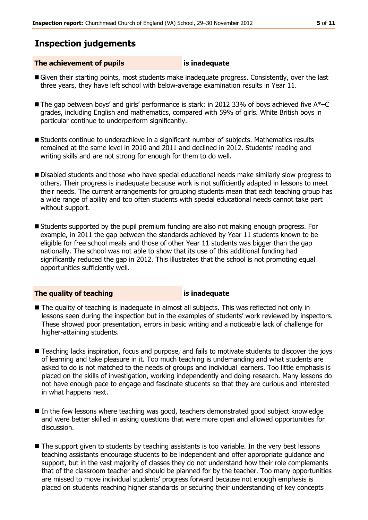### **Inspection judgements**

### **The achievement of pupils is inadequate**

- Given their starting points, most students make inadequate progress. Consistently, over the last three years, they have left school with below-average examination results in Year 11.
- The gap between boys' and girls' performance is stark: in 2012 33% of boys achieved five A\*–C grades, including English and mathematics, compared with 59% of girls. White British boys in particular continue to underperform significantly.
- Students continue to underachieve in a significant number of subjects. Mathematics results remained at the same level in 2010 and 2011 and declined in 2012. Students' reading and writing skills and are not strong for enough for them to do well.
- **Disabled students and those who have special educational needs make similarly slow progress to** others. Their progress is inadequate because work is not sufficiently adapted in lessons to meet their needs. The current arrangements for grouping students mean that each teaching group has a wide range of ability and too often students with special educational needs cannot take part without support.
- Students supported by the pupil premium funding are also not making enough progress. For example, in 2011 the gap between the standards achieved by Year 11 students known to be eligible for free school meals and those of other Year 11 students was bigger than the gap nationally. The school was not able to show that its use of this additional funding had significantly reduced the gap in 2012. This illustrates that the school is not promoting equal opportunities sufficiently well.

### **The quality of teaching is inadequate**

- The quality of teaching is inadequate in almost all subjects. This was reflected not only in lessons seen during the inspection but in the examples of students' work reviewed by inspectors. These showed poor presentation, errors in basic writing and a noticeable lack of challenge for higher-attaining students.
- Teaching lacks inspiration, focus and purpose, and fails to motivate students to discover the joys of learning and take pleasure in it. Too much teaching is undemanding and what students are asked to do is not matched to the needs of groups and individual learners. Too little emphasis is placed on the skills of investigation, working independently and doing research. Many lessons do not have enough pace to engage and fascinate students so that they are curious and interested in what happens next.
- In the few lessons where teaching was good, teachers demonstrated good subject knowledge and were better skilled in asking questions that were more open and allowed opportunities for discussion.
- The support given to students by teaching assistants is too variable. In the very best lessons teaching assistants encourage students to be independent and offer appropriate guidance and support, but in the vast majority of classes they do not understand how their role complements that of the classroom teacher and should be planned for by the teacher. Too many opportunities are missed to move individual students' progress forward because not enough emphasis is placed on students reaching higher standards or securing their understanding of key concepts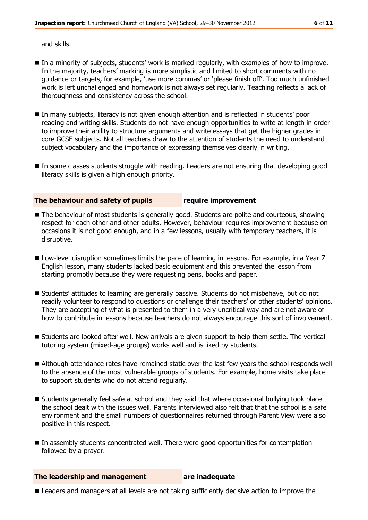and skills.

- In a minority of subjects, students' work is marked regularly, with examples of how to improve. In the majority, teachers' marking is more simplistic and limited to short comments with no guidance or targets, for example, 'use more commas' or 'please finish off'. Too much unfinished work is left unchallenged and homework is not always set regularly. Teaching reflects a lack of thoroughness and consistency across the school.
- In many subjects, literacy is not given enough attention and is reflected in students' poor reading and writing skills. Students do not have enough opportunities to write at length in order to improve their ability to structure arguments and write essays that get the higher grades in core GCSE subjects. Not all teachers draw to the attention of students the need to understand subject vocabulary and the importance of expressing themselves clearly in writing.
- In some classes students struggle with reading. Leaders are not ensuring that developing good literacy skills is given a high enough priority.

**The behaviour and safety of pupils require improvement**

- The behaviour of most students is generally good. Students are polite and courteous, showing respect for each other and other adults. However, behaviour requires improvement because on occasions it is not good enough, and in a few lessons, usually with temporary teachers, it is disruptive.
- Low-level disruption sometimes limits the pace of learning in lessons. For example, in a Year 7 English lesson, many students lacked basic equipment and this prevented the lesson from starting promptly because they were requesting pens, books and paper.
- Students' attitudes to learning are generally passive. Students do not misbehave, but do not readily volunteer to respond to questions or challenge their teachers' or other students' opinions. They are accepting of what is presented to them in a very uncritical way and are not aware of how to contribute in lessons because teachers do not always encourage this sort of involvement.
- Students are looked after well. New arrivals are given support to help them settle. The vertical tutoring system (mixed-age groups) works well and is liked by students.
- Although attendance rates have remained static over the last few years the school responds well to the absence of the most vulnerable groups of students. For example, home visits take place to support students who do not attend regularly.
- Students generally feel safe at school and they said that where occasional bullying took place the school dealt with the issues well. Parents interviewed also felt that that the school is a safe environment and the small numbers of questionnaires returned through Parent View were also positive in this respect.
- In assembly students concentrated well. There were good opportunities for contemplation followed by a prayer.

**The leadership and management** are inadequate

**E** Leaders and managers at all levels are not taking sufficiently decisive action to improve the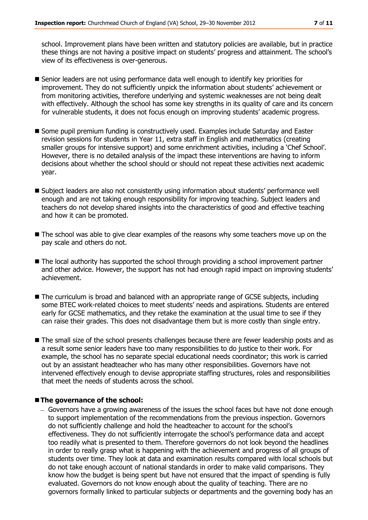school. Improvement plans have been written and statutory policies are available, but in practice these things are not having a positive impact on students' progress and attainment. The school's view of its effectiveness is over-generous.

- Senior leaders are not using performance data well enough to identify key priorities for improvement. They do not sufficiently unpick the information about students' achievement or from monitoring activities, therefore underlying and systemic weaknesses are not being dealt with effectively. Although the school has some key strengths in its quality of care and its concern for vulnerable students, it does not focus enough on improving students' academic progress.
- Some pupil premium funding is constructively used. Examples include Saturday and Easter revision sessions for students in Year 11, extra staff in English and mathematics (creating smaller groups for intensive support) and some enrichment activities, including a 'Chef School'. However, there is no detailed analysis of the impact these interventions are having to inform decisions about whether the school should or should not repeat these activities next academic year.
- Subject leaders are also not consistently using information about students' performance well enough and are not taking enough responsibility for improving teaching. Subject leaders and teachers do not develop shared insights into the characteristics of good and effective teaching and how it can be promoted.
- $\blacksquare$  The school was able to give clear examples of the reasons why some teachers move up on the pay scale and others do not.
- The local authority has supported the school through providing a school improvement partner and other advice. However, the support has not had enough rapid impact on improving students' achievement.
- The curriculum is broad and balanced with an appropriate range of GCSE subjects, including some BTEC work-related choices to meet students' needs and aspirations. Students are entered early for GCSE mathematics, and they retake the examination at the usual time to see if they can raise their grades. This does not disadvantage them but is more costly than single entry.
- The small size of the school presents challenges because there are fewer leadership posts and as a result some senior leaders have too many responsibilities to do justice to their work. For example, the school has no separate special educational needs coordinator; this work is carried out by an assistant headteacher who has many other responsibilities. Governors have not intervened effectively enough to devise appropriate staffing structures, roles and responsibilities that meet the needs of students across the school.

### **The governance of the school:**

 $-$  Governors have a growing awareness of the issues the school faces but have not done enough to support implementation of the recommendations from the previous inspection. Governors do not sufficiently challenge and hold the headteacher to account for the school's effectiveness. They do not sufficiently interrogate the school's performance data and accept too readily what is presented to them. Therefore governors do not look beyond the headlines in order to really grasp what is happening with the achievement and progress of all groups of students over time. They look at data and examination results compared with local schools but do not take enough account of national standards in order to make valid comparisons. They know how the budget is being spent but have not ensured that the impact of spending is fully evaluated. Governors do not know enough about the quality of teaching. There are no governors formally linked to particular subjects or departments and the governing body has an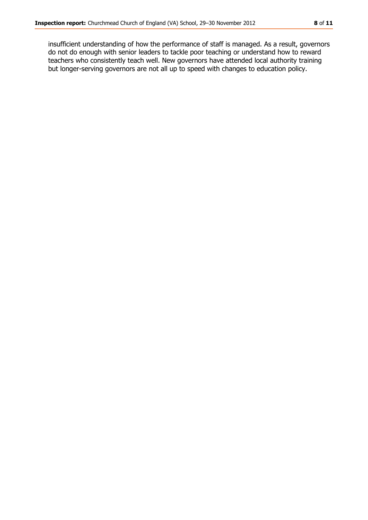insufficient understanding of how the performance of staff is managed. As a result, governors do not do enough with senior leaders to tackle poor teaching or understand how to reward teachers who consistently teach well. New governors have attended local authority training but longer-serving governors are not all up to speed with changes to education policy.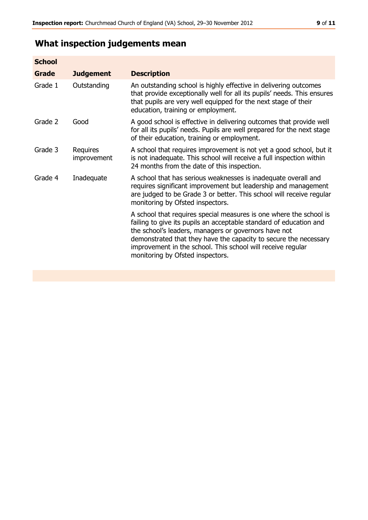# **What inspection judgements mean**

| <b>Judgement</b>        | <b>Description</b>                                                                                                                                                                                                                                                                                                                                                      |
|-------------------------|-------------------------------------------------------------------------------------------------------------------------------------------------------------------------------------------------------------------------------------------------------------------------------------------------------------------------------------------------------------------------|
| Outstanding             | An outstanding school is highly effective in delivering outcomes<br>that provide exceptionally well for all its pupils' needs. This ensures<br>that pupils are very well equipped for the next stage of their<br>education, training or employment.                                                                                                                     |
| Good                    | A good school is effective in delivering outcomes that provide well<br>for all its pupils' needs. Pupils are well prepared for the next stage<br>of their education, training or employment.                                                                                                                                                                            |
| Requires<br>improvement | A school that requires improvement is not yet a good school, but it<br>is not inadequate. This school will receive a full inspection within<br>24 months from the date of this inspection.                                                                                                                                                                              |
| Inadequate              | A school that has serious weaknesses is inadequate overall and<br>requires significant improvement but leadership and management<br>are judged to be Grade 3 or better. This school will receive regular<br>monitoring by Ofsted inspectors.                                                                                                                            |
|                         | A school that requires special measures is one where the school is<br>failing to give its pupils an acceptable standard of education and<br>the school's leaders, managers or governors have not<br>demonstrated that they have the capacity to secure the necessary<br>improvement in the school. This school will receive regular<br>monitoring by Ofsted inspectors. |
|                         |                                                                                                                                                                                                                                                                                                                                                                         |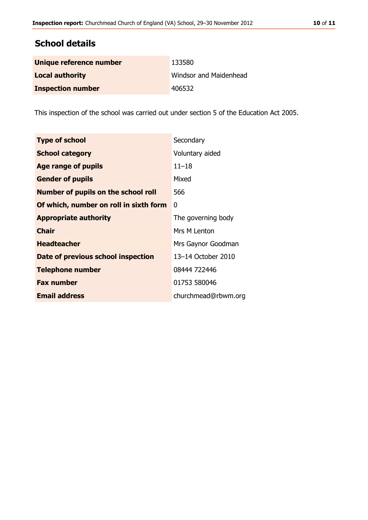## **School details**

| Unique reference number  | 133580                 |
|--------------------------|------------------------|
| <b>Local authority</b>   | Windsor and Maidenhead |
| <b>Inspection number</b> | 406532                 |

This inspection of the school was carried out under section 5 of the Education Act 2005.

| <b>Type of school</b>                      | Secondary           |
|--------------------------------------------|---------------------|
| <b>School category</b>                     | Voluntary aided     |
| Age range of pupils                        | $11 - 18$           |
| <b>Gender of pupils</b>                    | Mixed               |
| <b>Number of pupils on the school roll</b> | 566                 |
| Of which, number on roll in sixth form     | 0                   |
| <b>Appropriate authority</b>               | The governing body  |
| <b>Chair</b>                               | Mrs M Lenton        |
| <b>Headteacher</b>                         | Mrs Gaynor Goodman  |
| Date of previous school inspection         | 13-14 October 2010  |
| <b>Telephone number</b>                    | 08444 722446        |
| <b>Fax number</b>                          | 01753 580046        |
| <b>Email address</b>                       | churchmead@rbwm.org |